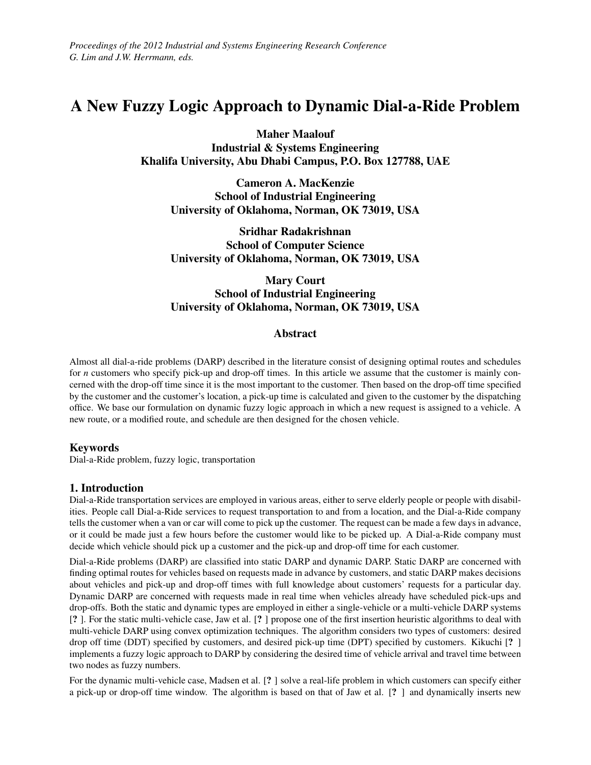*Proceedings of the 2012 Industrial and Systems Engineering Research Conference G. Lim and J.W. Herrmann, eds.*

# A New Fuzzy Logic Approach to Dynamic Dial-a-Ride Problem

Maher Maalouf Industrial & Systems Engineering Khalifa University, Abu Dhabi Campus, P.O. Box 127788, UAE

Cameron A. MacKenzie School of Industrial Engineering University of Oklahoma, Norman, OK 73019, USA

Sridhar Radakrishnan School of Computer Science University of Oklahoma, Norman, OK 73019, USA

Mary Court School of Industrial Engineering University of Oklahoma, Norman, OK 73019, USA

## Abstract

Almost all dial-a-ride problems (DARP) described in the literature consist of designing optimal routes and schedules for *n* customers who specify pick-up and drop-off times. In this article we assume that the customer is mainly concerned with the drop-off time since it is the most important to the customer. Then based on the drop-off time specified by the customer and the customer's location, a pick-up time is calculated and given to the customer by the dispatching office. We base our formulation on dynamic fuzzy logic approach in which a new request is assigned to a vehicle. A new route, or a modified route, and schedule are then designed for the chosen vehicle.

## Keywords

Dial-a-Ride problem, fuzzy logic, transportation

### 1. Introduction

Dial-a-Ride transportation services are employed in various areas, either to serve elderly people or people with disabilities. People call Dial-a-Ride services to request transportation to and from a location, and the Dial-a-Ride company tells the customer when a van or car will come to pick up the customer. The request can be made a few days in advance, or it could be made just a few hours before the customer would like to be picked up. A Dial-a-Ride company must decide which vehicle should pick up a customer and the pick-up and drop-off time for each customer.

Dial-a-Ride problems (DARP) are classified into static DARP and dynamic DARP. Static DARP are concerned with finding optimal routes for vehicles based on requests made in advance by customers, and static DARP makes decisions about vehicles and pick-up and drop-off times with full knowledge about customers' requests for a particular day. Dynamic DARP are concerned with requests made in real time when vehicles already have scheduled pick-ups and drop-offs. Both the static and dynamic types are employed in either a single-vehicle or a multi-vehicle DARP systems [? ]. For the static multi-vehicle case, Jaw et al. [? ] propose one of the first insertion heuristic algorithms to deal with multi-vehicle DARP using convex optimization techniques. The algorithm considers two types of customers: desired drop off time (DDT) specified by customers, and desired pick-up time (DPT) specified by customers. Kikuchi [? ] implements a fuzzy logic approach to DARP by considering the desired time of vehicle arrival and travel time between two nodes as fuzzy numbers.

For the dynamic multi-vehicle case, Madsen et al. [? ] solve a real-life problem in which customers can specify either a pick-up or drop-off time window. The algorithm is based on that of Jaw et al. [? ] and dynamically inserts new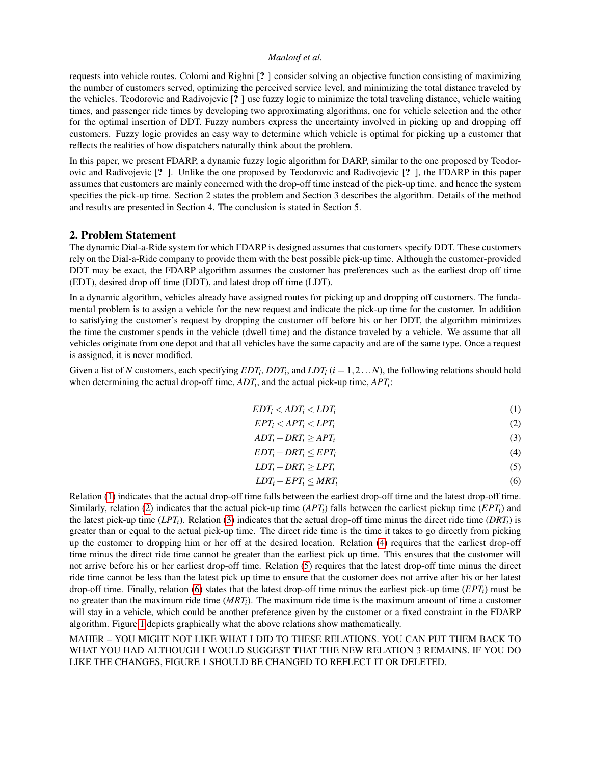### *Maalouf et al.*

requests into vehicle routes. Colorni and Righni [? ] consider solving an objective function consisting of maximizing the number of customers served, optimizing the perceived service level, and minimizing the total distance traveled by the vehicles. Teodorovic and Radivojevic [? ] use fuzzy logic to minimize the total traveling distance, vehicle waiting times, and passenger ride times by developing two approximating algorithms, one for vehicle selection and the other for the optimal insertion of DDT. Fuzzy numbers express the uncertainty involved in picking up and dropping off customers. Fuzzy logic provides an easy way to determine which vehicle is optimal for picking up a customer that reflects the realities of how dispatchers naturally think about the problem.

In this paper, we present FDARP, a dynamic fuzzy logic algorithm for DARP, similar to the one proposed by Teodorovic and Radivojevic [? ]. Unlike the one proposed by Teodorovic and Radivojevic [? ], the FDARP in this paper assumes that customers are mainly concerned with the drop-off time instead of the pick-up time. and hence the system specifies the pick-up time. Section 2 states the problem and Section 3 describes the algorithm. Details of the method and results are presented in Section 4. The conclusion is stated in Section 5.

## 2. Problem Statement

The dynamic Dial-a-Ride system for which FDARP is designed assumes that customers specify DDT. These customers rely on the Dial-a-Ride company to provide them with the best possible pick-up time. Although the customer-provided DDT may be exact, the FDARP algorithm assumes the customer has preferences such as the earliest drop off time (EDT), desired drop off time (DDT), and latest drop off time (LDT).

In a dynamic algorithm, vehicles already have assigned routes for picking up and dropping off customers. The fundamental problem is to assign a vehicle for the new request and indicate the pick-up time for the customer. In addition to satisfying the customer's request by dropping the customer off before his or her DDT, the algorithm minimizes the time the customer spends in the vehicle (dwell time) and the distance traveled by a vehicle. We assume that all vehicles originate from one depot and that all vehicles have the same capacity and are of the same type. Once a request is assigned, it is never modified.

Given a list of *N* customers, each specifying  $EDT_i$ ,  $DDT_i$ , and  $LDT_i$  ( $i = 1, 2...N$ ), the following relations should hold when determining the actual drop-off time,  $ADT_i$ , and the actual pick-up time,  $APT_i$ :

$$
EDT_i < ADT_i < LDT_i \tag{1}
$$

<span id="page-1-2"></span><span id="page-1-1"></span><span id="page-1-0"></span>
$$
EPT_i < APT_i < LPT_i
$$
 (2)

$$
ADT_i - DRT_i \ge APT_i \tag{3}
$$

<span id="page-1-3"></span>
$$
EDT_i - DRT_i \le EPT_i \tag{4}
$$

$$
LDT_i - DRT_i \ge LPT_i \tag{5}
$$

<span id="page-1-5"></span><span id="page-1-4"></span>
$$
LDT_i - EPT_i \le MRT_i \tag{6}
$$

Relation [\(1\)](#page-1-0) indicates that the actual drop-off time falls between the earliest drop-off time and the latest drop-off time. Similarly, relation [\(2\)](#page-1-1) indicates that the actual pick-up time  $(APT_i)$  falls between the earliest pickup time  $(EPT_i)$  and the latest pick-up time  $(LPT_i)$ . Relation [\(3\)](#page-1-2) indicates that the actual drop-off time minus the direct ride time  $(PRT_i)$  is greater than or equal to the actual pick-up time. The direct ride time is the time it takes to go directly from picking up the customer to dropping him or her off at the desired location. Relation [\(4\)](#page-1-3) requires that the earliest drop-off time minus the direct ride time cannot be greater than the earliest pick up time. This ensures that the customer will not arrive before his or her earliest drop-off time. Relation [\(5\)](#page-1-4) requires that the latest drop-off time minus the direct ride time cannot be less than the latest pick up time to ensure that the customer does not arrive after his or her latest drop-off time. Finally, relation [\(6\)](#page-1-5) states that the latest drop-off time minus the earliest pick-up time  $(EPT_i)$  must be no greater than the maximum ride time (*MRTi*). The maximum ride time is the maximum amount of time a customer will stay in a vehicle, which could be another preference given by the customer or a fixed constraint in the FDARP algorithm. Figure [1](#page-2-0) depicts graphically what the above relations show mathematically.

MAHER – YOU MIGHT NOT LIKE WHAT I DID TO THESE RELATIONS. YOU CAN PUT THEM BACK TO WHAT YOU HAD ALTHOUGH I WOULD SUGGEST THAT THE NEW RELATION 3 REMAINS. IF YOU DO LIKE THE CHANGES, FIGURE 1 SHOULD BE CHANGED TO REFLECT IT OR DELETED.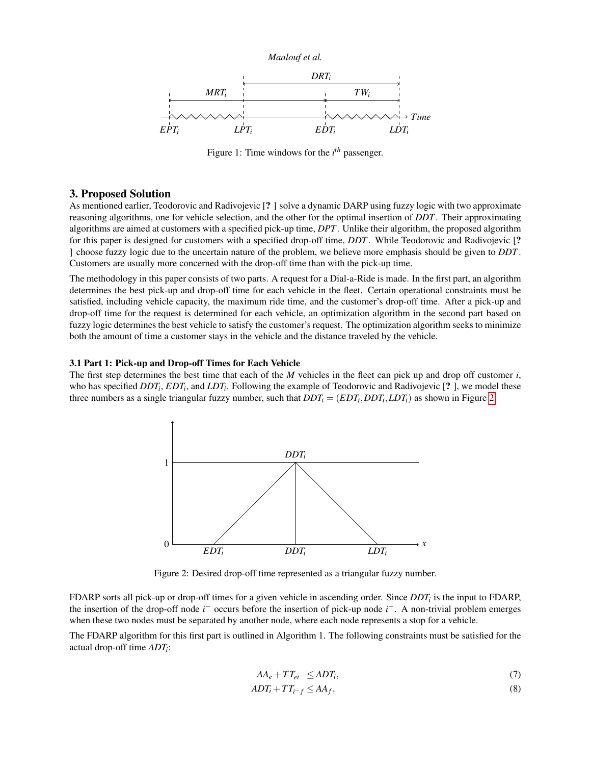

<span id="page-2-0"></span>

Figure 1: Time windows for the *i th* passenger.

## 3. Proposed Solution

As mentioned earlier, Teodorovic and Radivojevic [? ] solve a dynamic DARP using fuzzy logic with two approximate reasoning algorithms, one for vehicle selection, and the other for the optimal insertion of *DDT*. Their approximating algorithms are aimed at customers with a specified pick-up time, *DPT*. Unlike their algorithm, the proposed algorithm for this paper is designed for customers with a specified drop-off time, *DDT*. While Teodorovic and Radivojevic [? ] choose fuzzy logic due to the uncertain nature of the problem, we believe more emphasis should be given to *DDT*. Customers are usually more concerned with the drop-off time than with the pick-up time.

The methodology in this paper consists of two parts. A request for a Dial-a-Ride is made. In the first part, an algorithm determines the best pick-up and drop-off time for each vehicle in the fleet. Certain operational constraints must be satisfied, including vehicle capacity, the maximum ride time, and the customer's drop-off time. After a pick-up and drop-off time for the request is determined for each vehicle, an optimization algorithm in the second part based on fuzzy logic determines the best vehicle to satisfy the customer's request. The optimization algorithm seeks to minimize both the amount of time a customer stays in the vehicle and the distance traveled by the vehicle.

#### 3.1 Part 1: Pick-up and Drop-off Times for Each Vehicle

<span id="page-2-1"></span>The first step determines the best time that each of the *M* vehicles in the fleet can pick up and drop off customer *i*, who has specified  $DDT_i$ ,  $EDT_i$ , and  $LDT_i$ . Following the example of Teodorovic and Radivojevic [? ], we model these three numbers as a single triangular fuzzy number, such that  $DDT_i = (EDT_i, DDT_i, LDT_i)$  as shown in Figure [2.](#page-2-1)



Figure 2: Desired drop-off time represented as a triangular fuzzy number.

FDARP sorts all pick-up or drop-off times for a given vehicle in ascending order. Since *DDT<sup>i</sup>* is the input to FDARP, the insertion of the drop-off node *i* <sup>−</sup> occurs before the insertion of pick-up node *i* <sup>+</sup>. A non-trivial problem emerges when these two nodes must be separated by another node, where each node represents a stop for a vehicle.

The FDARP algorithm for this first part is outlined in Algorithm 1. The following constraints must be satisfied for the actual drop-off time *ADT<sup>i</sup>* :

<span id="page-2-3"></span><span id="page-2-2"></span>
$$
AA_e + TT_{ei^-} \le ADT_i,\tag{7}
$$

$$
ADT_i + TT_{i^-f} \le AA_f,\tag{8}
$$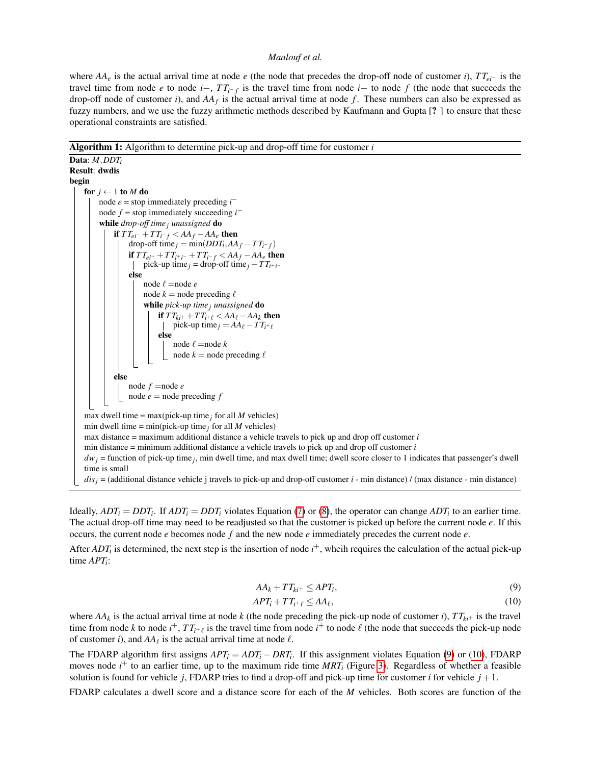#### *Maalouf et al.*

where  $AA_e$  is the actual arrival time at node *e* (the node that precedes the drop-off node of customer *i*),  $TT_{ei^-}$  is the travel time from node *e* to node *i*−, *T Ti*<sup>−</sup> *<sup>f</sup>* is the travel time from node *i*− to node *f* (the node that succeeds the drop-off node of customer  $i$ ), and  $AA_f$  is the actual arrival time at node  $f$ . These numbers can also be expressed as fuzzy numbers, and we use the fuzzy arithmetic methods described by Kaufmann and Gupta [? ] to ensure that these operational constraints are satisfied.

Algorithm 1: Algorithm to determine pick-up and drop-off time for customer *i*

Data: *M*,*DDT<sup>i</sup>* Result: dwdis begin for  $j \leftarrow 1$  to  $M$  do node  $e =$  stop immediately preceding  $i^$ node  $f =$  stop immediately succeeding  $i^$ while *drop-off time j unassigned* do if  $TT_{ei^-} + TT_{i^-f} < AA_f - AA_e$  then drop-off time  $j = min(DDT_i, AA_f - TT_{i^-f})$ if  $TT_{ei^+} + TT_{i^+i^-} + TT_{i^-f} < AA_f - AA_e$  then  $\text{pick-up time}_j = \text{drop-off time}_j - T T_{i^+i^-}$ else node  $\ell$  =node  $e$ node  $k =$  node preceding  $\ell$ while *pick-up time j unassigned* do if  $TT_{ki^+} + TT_{i^+\ell} < AA_\ell - AA_k$  then pick-up time *j* =  $AA_{\ell} - TT_{i^+ \ell}$ else node  $\ell$  =node  $k$ node  $k =$  node preceding  $\ell$ else node *f* =node *e* node  $e$  = node preceding  $f$ max dwell time = max(pick-up time  $_i$  for all *M* vehicles) min dwell time = min(pick-up time  $_j$  for all *M* vehicles) max distance = maximum additional distance a vehicle travels to pick up and drop off customer *i* min distance = minimum additional distance a vehicle travels to pick up and drop off customer *i*  $dw_j$  = function of pick-up time<sub>j</sub>, min dwell time, and max dwell time; dwell score closer to 1 indicates that passenger's dwell time is small  $dis_j =$  (additional distance vehicle j travels to pick-up and drop-off customer *i* - min distance) / (max distance - min distance)

Ideally,  $ADT_i = DDT_i$ . If  $ADT_i = DDT_i$  violates Equation [\(7\)](#page-2-2) or [\(8\)](#page-2-3), the operator can change  $ADT_i$  to an earlier time. The actual drop-off time may need to be readjusted so that the customer is picked up before the current node *e*. If this occurs, the current node *e* becomes node *f* and the new node *e* immediately precedes the current node *e*.

After *ADT<sub>i</sub>* is determined, the next step is the insertion of node  $i^+$ , whcih requires the calculation of the actual pick-up time *APT<sup>i</sup>* :

<span id="page-3-1"></span><span id="page-3-0"></span>
$$
AA_k + TT_{ki^+} \leq APT_i,
$$
\n(9)

$$
APT_i + TT_{i^+ \ell} \le AA_\ell, \tag{10}
$$

where  $AA_k$  is the actual arrival time at node  $k$  (the node preceding the pick-up node of customer *i*),  $TT_{ki^+}$  is the travel time from node *k* to node  $i^+$ ,  $TT_{i^+ \ell}$  is the travel time from node  $i^+$  to node  $\ell$  (the node that succeeds the pick-up node of customer *i*), and  $AA_\ell$  is the actual arrival time at node  $\ell$ .

The FDARP algorithm first assigns  $APT_i = ADT_i - DRT_i$ . If this assignment violates Equation [\(9\)](#page-3-0) or [\(10\)](#page-3-1), FDARP moves node *i*<sup>+</sup> to an earlier time, up to the maximum ride time *MRT<sub>i</sub>* (Figure [3\)](#page-4-0). Regardless of whether a feasible solution is found for vehicle *j*, FDARP tries to find a drop-off and pick-up time for customer *i* for vehicle  $j + 1$ .

FDARP calculates a dwell score and a distance score for each of the *M* vehicles. Both scores are function of the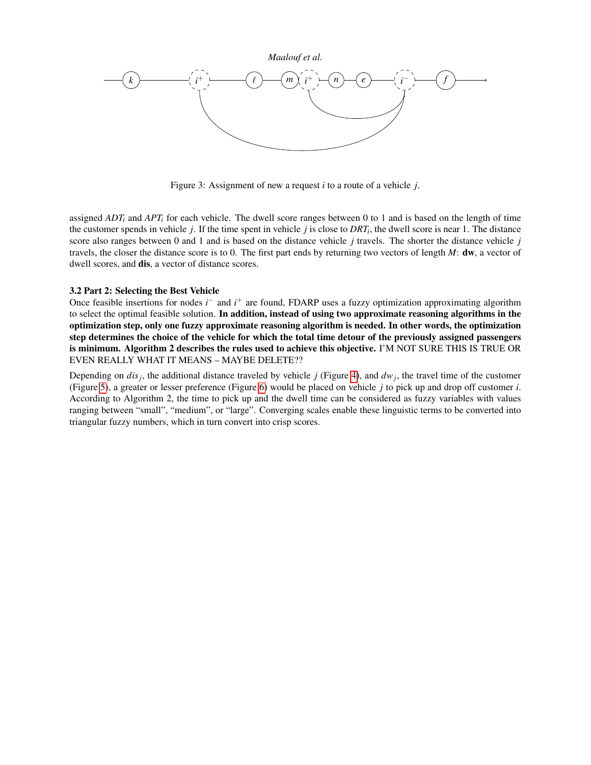<span id="page-4-0"></span>

Figure 3: Assignment of new a request *i* to a route of a vehicle *j*.

assigned  $ADT_i$  and  $APT_i$  for each vehicle. The dwell score ranges between 0 to 1 and is based on the length of time the customer spends in vehicle *j*. If the time spent in vehicle *j* is close to *DRT<sup>i</sup>* , the dwell score is near 1. The distance score also ranges between 0 and 1 and is based on the distance vehicle *j* travels. The shorter the distance vehicle *j* travels, the closer the distance score is to 0. The first part ends by returning two vectors of length *M*: dw, a vector of dwell scores, and dis, a vector of distance scores.

#### 3.2 Part 2: Selecting the Best Vehicle

Once feasible insertions for nodes *i*<sup>−</sup> and *i*<sup>+</sup> are found, FDARP uses a fuzzy optimization approximating algorithm to select the optimal feasible solution. In addition, instead of using two approximate reasoning algorithms in the optimization step, only one fuzzy approximate reasoning algorithm is needed. In other words, the optimization step determines the choice of the vehicle for which the total time detour of the previously assigned passengers is minimum. Algorithm 2 describes the rules used to achieve this objective. I'M NOT SURE THIS IS TRUE OR EVEN REALLY WHAT IT MEANS – MAYBE DELETE??

Depending on *dis<sup>j</sup>* , the additional distance traveled by vehicle *j* (Figure [4\)](#page-5-0), and *dw<sup>j</sup>* , the travel time of the customer (Figure [5\)](#page-6-0), a greater or lesser preference (Figure [6\)](#page-6-1) would be placed on vehicle *j* to pick up and drop off customer *i*. According to Algorithm 2, the time to pick up and the dwell time can be considered as fuzzy variables with values ranging between "small", "medium", or "large". Converging scales enable these linguistic terms to be converted into triangular fuzzy numbers, which in turn convert into crisp scores.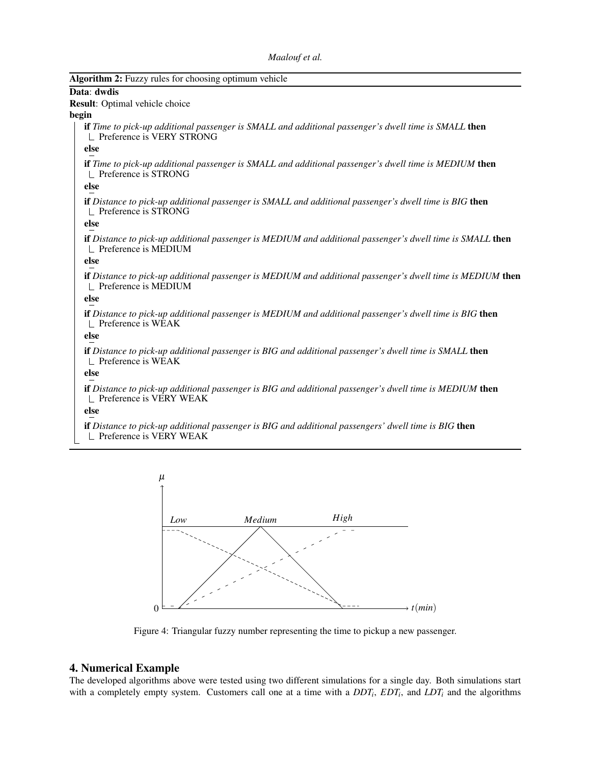```
Maalouf et al.
```

| Algorithm 2: Fuzzy rules for choosing optimum vehicle                                                                                     |
|-------------------------------------------------------------------------------------------------------------------------------------------|
| Data: dwdis                                                                                                                               |
| Result: Optimal vehicle choice                                                                                                            |
| begin                                                                                                                                     |
| <b>if</b> Time to pick-up additional passenger is SMALL and additional passenger's dwell time is SMALL then<br>Preference is VERY STRONG  |
| else                                                                                                                                      |
| <b>if</b> Time to pick-up additional passenger is SMALL and additional passenger's dwell time is MEDIUM then<br>Preference is STRONG      |
| else                                                                                                                                      |
| <b>if</b> Distance to pick-up additional passenger is SMALL and additional passenger's dwell time is BIG then<br>Preference is STRONG     |
| else                                                                                                                                      |
| <b>if</b> Distance to pick-up additional passenger is MEDIUM and additional passenger's dwell time is SMALL then<br>Preference is MEDIUM  |
| else                                                                                                                                      |
| <b>if</b> Distance to pick-up additional passenger is MEDIUM and additional passenger's dwell time is MEDIUM then<br>Preference is MEDIUM |
| else                                                                                                                                      |
| <b>if</b> Distance to pick-up additional passenger is MEDIUM and additional passenger's dwell time is BIG then<br>Preference is WEAK      |
| else                                                                                                                                      |
| <b>if</b> Distance to pick-up additional passenger is BIG and additional passenger's dwell time is SMALL then<br>Preference is WEAK       |
| else                                                                                                                                      |
| <b>if</b> Distance to pick-up additional passenger is BIG and additional passenger's dwell time is MEDIUM then<br>Preference is VERY WEAK |

else

<span id="page-5-0"></span>if *Distance to pick-up additional passenger is BIG and additional passengers' dwell time is BIG* then  $\mathcal{L}$  Preference is VERY WEAK



Figure 4: Triangular fuzzy number representing the time to pickup a new passenger.

## 4. Numerical Example

The developed algorithms above were tested using two different simulations for a single day. Both simulations start with a completely empty system. Customers call one at a time with a  $DDT_i$ ,  $EDT_i$ , and  $LDT_i$  and the algorithms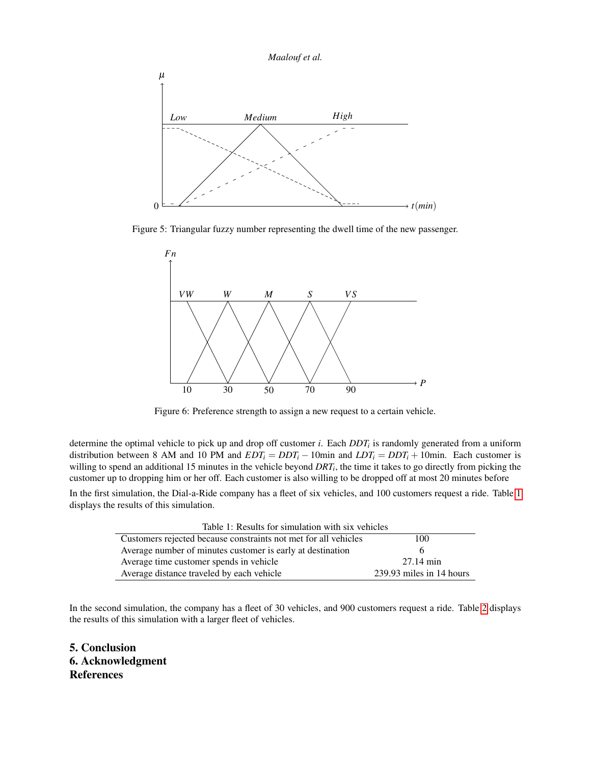<span id="page-6-0"></span>

<span id="page-6-1"></span>Figure 5: Triangular fuzzy number representing the dwell time of the new passenger.



Figure 6: Preference strength to assign a new request to a certain vehicle.

determine the optimal vehicle to pick up and drop off customer *i*. Each *DDT<sup>i</sup>* is randomly generated from a uniform distribution between 8 AM and 10 PM and  $EDT_i = DDT_i - 10$  min and  $LDT_i = DDT_i + 10$  min. Each customer is willing to spend an additional 15 minutes in the vehicle beyond *DRT<sup>i</sup>* , the time it takes to go directly from picking the customer up to dropping him or her off. Each customer is also willing to be dropped off at most 20 minutes before

<span id="page-6-2"></span>In the first simulation, the Dial-a-Ride company has a fleet of six vehicles, and 100 customers request a ride. Table [1](#page-6-2) displays the results of this simulation.

| Table 1: Results for simulation with six vehicles               |                          |  |
|-----------------------------------------------------------------|--------------------------|--|
| Customers rejected because constraints not met for all vehicles | 100                      |  |
| Average number of minutes customer is early at destination      |                          |  |
| Average time customer spends in vehicle                         | $27.14 \text{ min}$      |  |
| Average distance traveled by each vehicle                       | 239.93 miles in 14 hours |  |

In the second simulation, the company has a fleet of 30 vehicles, and 900 customers request a ride. Table [2](#page-7-0) displays the results of this simulation with a larger fleet of vehicles.

5. Conclusion 6. Acknowledgment References